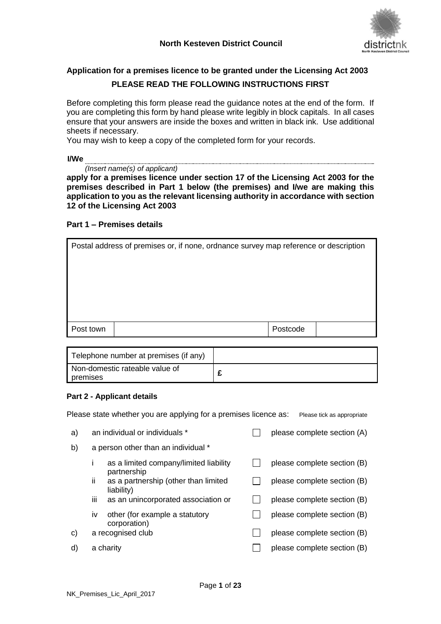

## **Application for a premises licence to be granted under the Licensing Act 2003 PLEASE READ THE FOLLOWING INSTRUCTIONS FIRST**

Before completing this form please read the guidance notes at the end of the form. If you are completing this form by hand please write legibly in block capitals. In all cases ensure that your answers are inside the boxes and written in black ink. Use additional sheets if necessary.

You may wish to keep a copy of the completed form for your records.

### **I/We**

*(Insert name(s) of applicant)*

**apply for a premises licence under section 17 of the Licensing Act 2003 for the premises described in Part 1 below (the premises) and I/we are making this application to you as the relevant licensing authority in accordance with section 12 of the Licensing Act 2003**

### **Part 1 – Premises details**

| Postal address of premises or, if none, ordnance survey map reference or description |  |          |  |  |  |  |
|--------------------------------------------------------------------------------------|--|----------|--|--|--|--|
|                                                                                      |  |          |  |  |  |  |
|                                                                                      |  |          |  |  |  |  |
|                                                                                      |  |          |  |  |  |  |
|                                                                                      |  |          |  |  |  |  |
|                                                                                      |  |          |  |  |  |  |
| Post town                                                                            |  | Postcode |  |  |  |  |
|                                                                                      |  |          |  |  |  |  |

| Telephone number at premises (if any)      |  |
|--------------------------------------------|--|
| Non-domestic rateable value of<br>premises |  |

### **Part 2 - Applicant details**

Please state whether you are applying for a premises licence as: Please tick as appropriate

| a) |     | an individual or individuals *                        | please complete section (A) |
|----|-----|-------------------------------------------------------|-----------------------------|
| b) |     | a person other than an individual *                   |                             |
|    | ı   | as a limited company/limited liability<br>partnership | please complete section (B) |
|    | ii  | as a partnership (other than limited<br>liability)    | please complete section (B) |
|    | iii | as an unincorporated association or                   | please complete section (B) |
|    | İV  | other (for example a statutory<br>corporation)        | please complete section (B) |
| C) |     | a recognised club                                     | please complete section (B) |
| d) |     | a charity                                             | please complete section (B) |
|    |     |                                                       |                             |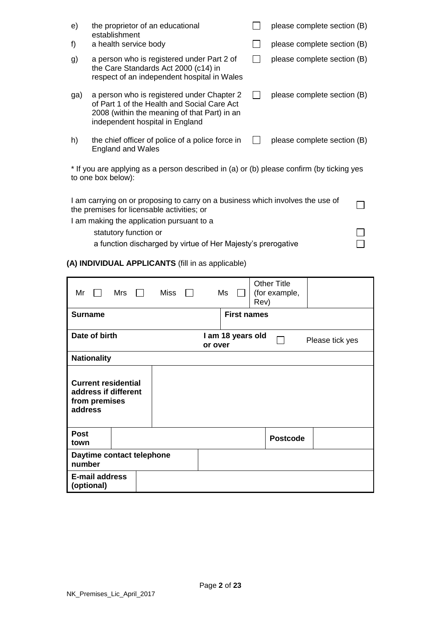| e)  | the proprietor of an educational<br>establishment                                                                                                                                                  | please complete section (B) |
|-----|----------------------------------------------------------------------------------------------------------------------------------------------------------------------------------------------------|-----------------------------|
| f)  | a health service body                                                                                                                                                                              | please complete section (B) |
| g)  | a person who is registered under Part 2 of<br>the Care Standards Act 2000 (c14) in<br>respect of an independent hospital in Wales                                                                  | please complete section (B) |
| ga) | a person who is registered under Chapter 2<br>of Part 1 of the Health and Social Care Act<br>2008 (within the meaning of that Part) in an<br>independent hospital in England                       | please complete section (B) |
| h)  | the chief officer of police of a police force in<br><b>England and Wales</b>                                                                                                                       | please complete section (B) |
|     | * If you are applying as a person described in (a) or (b) please confirm (by ticking yes<br>to one box below):                                                                                     |                             |
|     | I am carrying on or proposing to carry on a business which involves the use of<br>the premises for licensable activities; or<br>I am making the application pursuant to a<br>statutory function or |                             |
|     | a function discharged by virtue of Her Majesty's prerogative                                                                                                                                       |                             |
|     | (A) INDIVIDUAL APPLICANTS (fill in as applicable)                                                                                                                                                  |                             |

| Mr                                                                             | Mrs | Miss | Ms                           | <b>Other Title</b><br>(for example,<br>Rev) |                 |
|--------------------------------------------------------------------------------|-----|------|------------------------------|---------------------------------------------|-----------------|
| <b>Surname</b>                                                                 |     |      | <b>First names</b>           |                                             |                 |
| Date of birth                                                                  |     |      | I am 18 years old<br>or over |                                             | Please tick yes |
| <b>Nationality</b>                                                             |     |      |                              |                                             |                 |
| <b>Current residential</b><br>address if different<br>from premises<br>address |     |      |                              |                                             |                 |
| <b>Post</b><br>town                                                            |     |      |                              | <b>Postcode</b>                             |                 |
| Daytime contact telephone<br>number                                            |     |      |                              |                                             |                 |
| <b>E-mail address</b><br>(optional)                                            |     |      |                              |                                             |                 |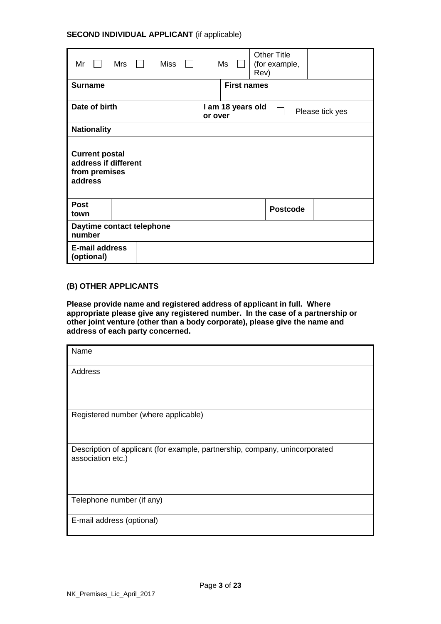### **SECOND INDIVIDUAL APPLICANT** (if applicable)

| Mr                                                                        | Mrs<br>$\mathbf{1}$ | <b>Miss</b> |  |                                                 | Ms                 | <b>Other Title</b><br>Rev) | (for example,   |  |
|---------------------------------------------------------------------------|---------------------|-------------|--|-------------------------------------------------|--------------------|----------------------------|-----------------|--|
| <b>Surname</b>                                                            |                     |             |  |                                                 | <b>First names</b> |                            |                 |  |
| Date of birth                                                             |                     |             |  | I am 18 years old<br>Please tick yes<br>or over |                    |                            |                 |  |
| <b>Nationality</b>                                                        |                     |             |  |                                                 |                    |                            |                 |  |
| <b>Current postal</b><br>address if different<br>from premises<br>address |                     |             |  |                                                 |                    |                            |                 |  |
| <b>Post</b><br>town                                                       |                     |             |  |                                                 |                    |                            | <b>Postcode</b> |  |
| Daytime contact telephone<br>number                                       |                     |             |  |                                                 |                    |                            |                 |  |
| <b>E-mail address</b><br>(optional)                                       |                     |             |  |                                                 |                    |                            |                 |  |

### **(B) OTHER APPLICANTS**

**Please provide name and registered address of applicant in full. Where appropriate please give any registered number. In the case of a partnership or other joint venture (other than a body corporate), please give the name and address of each party concerned.**

| Name                                                                                             |
|--------------------------------------------------------------------------------------------------|
| Address                                                                                          |
|                                                                                                  |
| Registered number (where applicable)                                                             |
| Description of applicant (for example, partnership, company, unincorporated<br>association etc.) |
| Telephone number (if any)                                                                        |
| E-mail address (optional)                                                                        |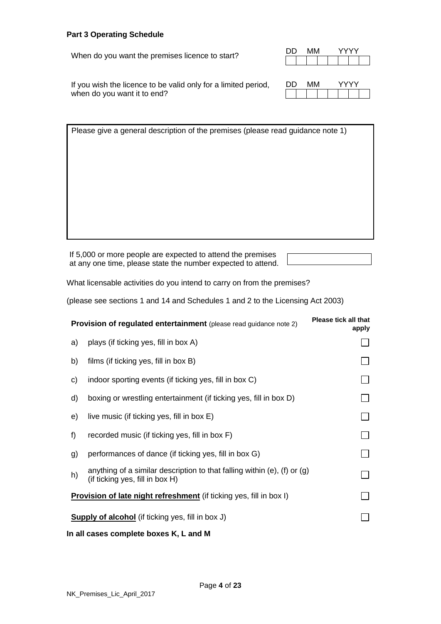### **Part 3 Operating Schedule**

When do you want the premises licence to start?

| , וו | мм |  | vvvv |  |  |  |
|------|----|--|------|--|--|--|
|      |    |  |      |  |  |  |

If you wish the licence to be valid only for a limited period, when do you want it to end?

|  | M | <b>^^^</b> |  |  |  |
|--|---|------------|--|--|--|
|  |   |            |  |  |  |

| Please give a general description of the premises (please read guidance note 1) |
|---------------------------------------------------------------------------------|
|                                                                                 |
|                                                                                 |
|                                                                                 |
|                                                                                 |
|                                                                                 |
|                                                                                 |
|                                                                                 |
|                                                                                 |
|                                                                                 |
|                                                                                 |
|                                                                                 |

If 5,000 or more people are expected to attend the premises at any one time, please state the number expected to attend.

What licensable activities do you intend to carry on from the premises?

(please see sections 1 and 14 and Schedules 1 and 2 to the Licensing Act 2003)

|    | <b>Provision of regulated entertainment</b> (please read guidance note 2)                                     | Please tick all that<br>apply |  |  |  |  |
|----|---------------------------------------------------------------------------------------------------------------|-------------------------------|--|--|--|--|
| a) | plays (if ticking yes, fill in box A)                                                                         |                               |  |  |  |  |
| b) | films (if ticking yes, fill in box B)                                                                         |                               |  |  |  |  |
| C) | indoor sporting events (if ticking yes, fill in box C)                                                        |                               |  |  |  |  |
| d) | boxing or wrestling entertainment (if ticking yes, fill in box D)                                             |                               |  |  |  |  |
| e) | live music (if ticking yes, fill in box E)                                                                    |                               |  |  |  |  |
| f) | recorded music (if ticking yes, fill in box F)                                                                |                               |  |  |  |  |
| g) | performances of dance (if ticking yes, fill in box G)                                                         |                               |  |  |  |  |
| h) | anything of a similar description to that falling within (e), (f) or $(q)$<br>(if ticking yes, fill in box H) |                               |  |  |  |  |
|    | <b>Provision of late night refreshment</b> (if ticking yes, fill in box I)                                    |                               |  |  |  |  |
|    | <b>Supply of alcohol</b> (if ticking yes, fill in box J)                                                      |                               |  |  |  |  |
|    | In all cases complete boxes K, L and M                                                                        |                               |  |  |  |  |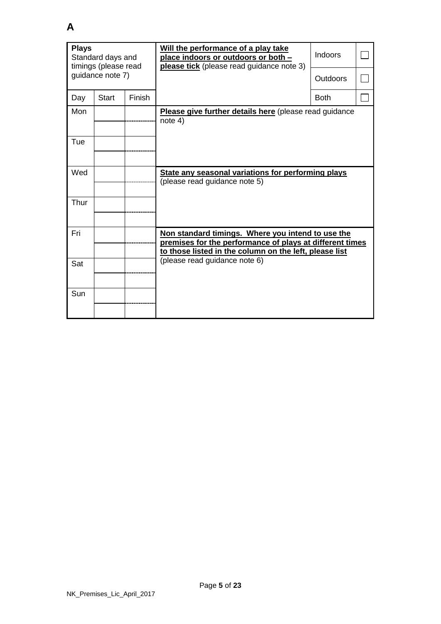**A**

| <b>Plays</b><br>Standard days and<br>timings (please read |              |        | Will the performance of a play take<br>place indoors or outdoors or both -<br>please tick (please read guidance note 3)                                                 | Indoors     |  |
|-----------------------------------------------------------|--------------|--------|-------------------------------------------------------------------------------------------------------------------------------------------------------------------------|-------------|--|
| guidance note 7)                                          |              |        |                                                                                                                                                                         | Outdoors    |  |
| Day                                                       | <b>Start</b> | Finish |                                                                                                                                                                         | <b>Both</b> |  |
| Mon                                                       |              |        | Please give further details here (please read guidance<br>note 4)                                                                                                       |             |  |
| Tue                                                       |              |        |                                                                                                                                                                         |             |  |
| Wed                                                       |              |        | <b>State any seasonal variations for performing plays</b><br>(please read guidance note 5)                                                                              |             |  |
| Thur                                                      |              |        |                                                                                                                                                                         |             |  |
| Fri                                                       |              |        | Non standard timings. Where you intend to use the<br>premises for the performance of plays at different times<br>to those listed in the column on the left, please list |             |  |
| Sat                                                       |              |        | (please read guidance note 6)                                                                                                                                           |             |  |
| Sun                                                       |              |        |                                                                                                                                                                         |             |  |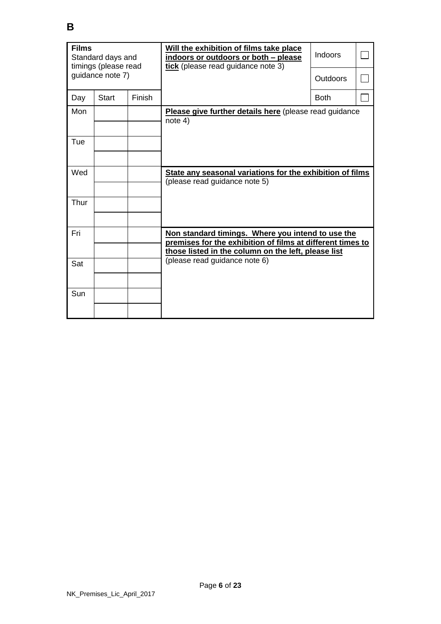**B**

| <b>Films</b><br>Standard days and<br>timings (please read |                  |               | Will the exhibition of films take place<br>indoors or outdoors or both - please<br>tick (please read guidance note 3)                                                  | Indoors     |  |
|-----------------------------------------------------------|------------------|---------------|------------------------------------------------------------------------------------------------------------------------------------------------------------------------|-------------|--|
|                                                           | guidance note 7) |               |                                                                                                                                                                        | Outdoors    |  |
| Day                                                       | <b>Start</b>     | <b>Finish</b> |                                                                                                                                                                        | <b>Both</b> |  |
| Mon                                                       |                  |               | Please give further details here (please read guidance<br>note 4)                                                                                                      |             |  |
| Tue                                                       |                  |               |                                                                                                                                                                        |             |  |
| Wed                                                       |                  |               | State any seasonal variations for the exhibition of films<br>(please read guidance note 5)                                                                             |             |  |
| Thur                                                      |                  |               |                                                                                                                                                                        |             |  |
| Fri                                                       |                  |               | Non standard timings. Where you intend to use the<br>premises for the exhibition of films at different times to<br>those listed in the column on the left, please list |             |  |
| Sat                                                       |                  |               | (please read guidance note 6)                                                                                                                                          |             |  |
| Sun                                                       |                  |               |                                                                                                                                                                        |             |  |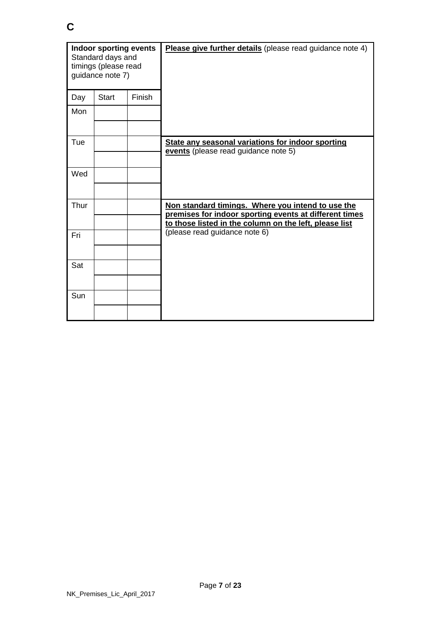**C**

| Indoor sporting events<br>Standard days and<br>timings (please read<br>guidance note 7) |              |               | Please give further details (please read guidance note 4)                                                                                                             |
|-----------------------------------------------------------------------------------------|--------------|---------------|-----------------------------------------------------------------------------------------------------------------------------------------------------------------------|
| Day                                                                                     | <b>Start</b> | <b>Finish</b> |                                                                                                                                                                       |
| Mon                                                                                     |              |               |                                                                                                                                                                       |
| Tue                                                                                     |              |               | State any seasonal variations for indoor sporting<br>events (please read guidance note 5)                                                                             |
| Wed                                                                                     |              |               |                                                                                                                                                                       |
| Thur                                                                                    |              |               | Non standard timings. Where you intend to use the<br>premises for indoor sporting events at different times<br>to those listed in the column on the left, please list |
| Fri                                                                                     |              |               | (please read guidance note 6)                                                                                                                                         |
| Sat                                                                                     |              |               |                                                                                                                                                                       |
| Sun                                                                                     |              |               |                                                                                                                                                                       |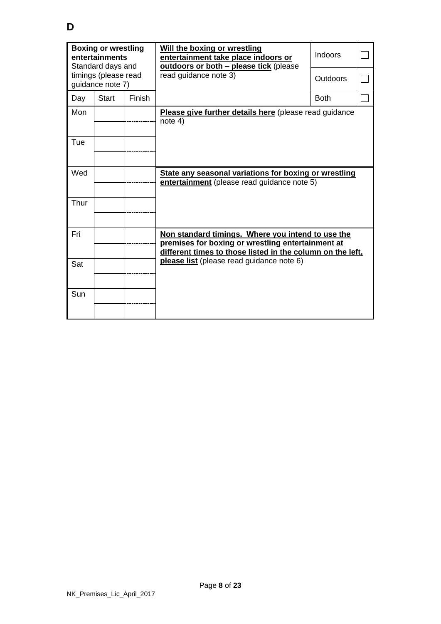**D**

| <b>Boxing or wrestling</b><br>entertainments<br>Standard days and |                                          |        | Will the boxing or wrestling<br>entertainment take place indoors or<br>outdoors or both - please tick (please                                                        | Indoors         |  |
|-------------------------------------------------------------------|------------------------------------------|--------|----------------------------------------------------------------------------------------------------------------------------------------------------------------------|-----------------|--|
|                                                                   | timings (please read<br>guidance note 7) |        | read guidance note 3)                                                                                                                                                | <b>Outdoors</b> |  |
| Day                                                               | <b>Start</b>                             | Finish |                                                                                                                                                                      | <b>Both</b>     |  |
| Mon                                                               |                                          |        | Please give further details here (please read guidance<br>note 4)                                                                                                    |                 |  |
| Tue                                                               |                                          |        |                                                                                                                                                                      |                 |  |
| Wed                                                               |                                          |        | State any seasonal variations for boxing or wrestling<br>entertainment (please read guidance note 5)                                                                 |                 |  |
| Thur                                                              |                                          |        |                                                                                                                                                                      |                 |  |
| Fri                                                               |                                          |        | Non standard timings. Where you intend to use the<br>premises for boxing or wrestling entertainment at<br>different times to those listed in the column on the left, |                 |  |
| Sat                                                               |                                          |        | please list (please read guidance note 6)                                                                                                                            |                 |  |
| Sun                                                               |                                          |        |                                                                                                                                                                      |                 |  |
|                                                                   |                                          |        |                                                                                                                                                                      |                 |  |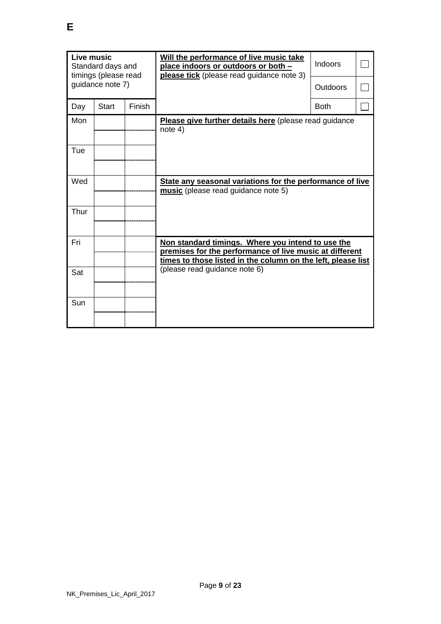| Live music<br>Standard days and<br>timings (please read |                  |               | Will the performance of live music take<br>place indoors or outdoors or both -<br>please tick (please read guidance note 3)                                                  | <b>Indoors</b>  |  |
|---------------------------------------------------------|------------------|---------------|------------------------------------------------------------------------------------------------------------------------------------------------------------------------------|-----------------|--|
|                                                         | quidance note 7) |               |                                                                                                                                                                              | <b>Outdoors</b> |  |
| Day                                                     | <b>Start</b>     | <b>Finish</b> |                                                                                                                                                                              | <b>Both</b>     |  |
| Mon                                                     |                  |               | Please give further details here (please read guidance<br>note 4)                                                                                                            |                 |  |
| Tue                                                     |                  |               |                                                                                                                                                                              |                 |  |
| Wed                                                     |                  |               | State any seasonal variations for the performance of live<br>music (please read guidance note 5)                                                                             |                 |  |
| Thur                                                    |                  |               |                                                                                                                                                                              |                 |  |
| Fri                                                     |                  |               | Non standard timings. Where you intend to use the<br>premises for the performance of live music at different<br>times to those listed in the column on the left, please list |                 |  |
| Sat                                                     |                  |               | (please read guidance note 6)                                                                                                                                                |                 |  |
| Sun                                                     |                  |               |                                                                                                                                                                              |                 |  |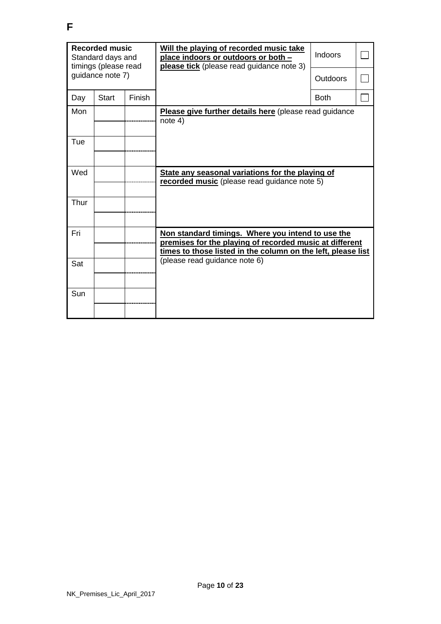| <b>Recorded music</b><br>Standard days and<br>timings (please read |                  |        | Will the playing of recorded music take<br>place indoors or outdoors or both -<br>please tick (please read guidance note 3)                                                  | Indoors     |  |
|--------------------------------------------------------------------|------------------|--------|------------------------------------------------------------------------------------------------------------------------------------------------------------------------------|-------------|--|
|                                                                    | guidance note 7) |        |                                                                                                                                                                              | Outdoors    |  |
| Day                                                                | <b>Start</b>     | Finish |                                                                                                                                                                              | <b>Both</b> |  |
| Mon                                                                |                  |        | Please give further details here (please read guidance<br>note 4)                                                                                                            |             |  |
| Tue                                                                |                  |        |                                                                                                                                                                              |             |  |
| Wed                                                                |                  |        | State any seasonal variations for the playing of<br>recorded music (please read guidance note 5)                                                                             |             |  |
| Thur                                                               |                  |        |                                                                                                                                                                              |             |  |
| Fri                                                                |                  |        | Non standard timings. Where you intend to use the<br>premises for the playing of recorded music at different<br>times to those listed in the column on the left, please list |             |  |
| Sat                                                                |                  |        | (please read guidance note 6)                                                                                                                                                |             |  |
| Sun                                                                |                  |        |                                                                                                                                                                              |             |  |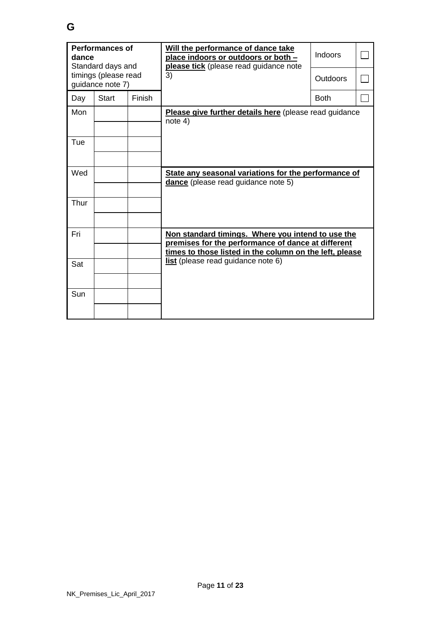**G**

| <b>Performances of</b><br>dance<br>Standard days and<br>timings (please read |                  |        | Will the performance of dance take<br>place indoors or outdoors or both -<br>please tick (please read guidance note<br>3)                                          | Indoors<br><b>Outdoors</b> |  |
|------------------------------------------------------------------------------|------------------|--------|--------------------------------------------------------------------------------------------------------------------------------------------------------------------|----------------------------|--|
|                                                                              | guidance note 7) |        |                                                                                                                                                                    |                            |  |
| Day                                                                          | <b>Start</b>     | Finish |                                                                                                                                                                    | <b>Both</b>                |  |
| Mon                                                                          |                  |        | Please give further details here (please read guidance<br>note 4)                                                                                                  |                            |  |
| Tue                                                                          |                  |        |                                                                                                                                                                    |                            |  |
| Wed                                                                          |                  |        | State any seasonal variations for the performance of<br>dance (please read guidance note 5)                                                                        |                            |  |
| Thur                                                                         |                  |        |                                                                                                                                                                    |                            |  |
| Fri                                                                          |                  |        | Non standard timings. Where you intend to use the<br>premises for the performance of dance at different<br>times to those listed in the column on the left, please |                            |  |
| Sat                                                                          |                  |        | <b>list</b> (please read guidance note 6)                                                                                                                          |                            |  |
| Sun                                                                          |                  |        |                                                                                                                                                                    |                            |  |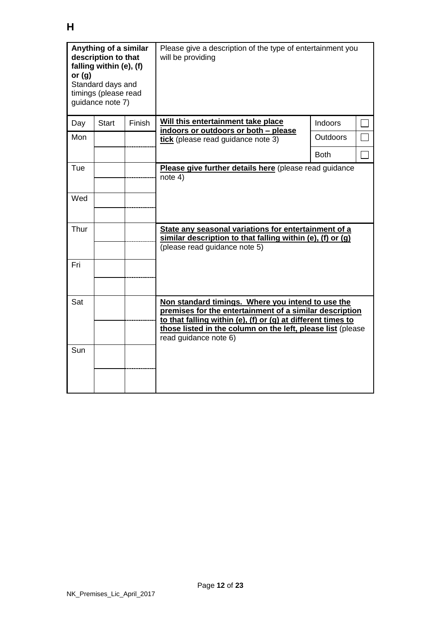| Anything of a similar<br>description to that<br>falling within (e), (f)<br>or $(g)$<br>Standard days and<br>timings (please read<br>guidance note 7) |              |        | Please give a description of the type of entertainment you<br>will be providing                                                                                                                                                                                      |                 |  |
|------------------------------------------------------------------------------------------------------------------------------------------------------|--------------|--------|----------------------------------------------------------------------------------------------------------------------------------------------------------------------------------------------------------------------------------------------------------------------|-----------------|--|
| Day                                                                                                                                                  | <b>Start</b> | Finish | Will this entertainment take place<br>indoors or outdoors or both - please                                                                                                                                                                                           | <b>Indoors</b>  |  |
| Mon                                                                                                                                                  |              |        | tick (please read guidance note 3)                                                                                                                                                                                                                                   | <b>Outdoors</b> |  |
|                                                                                                                                                      |              |        |                                                                                                                                                                                                                                                                      | <b>Both</b>     |  |
| Tue                                                                                                                                                  |              |        | Please give further details here (please read guidance<br>note 4)                                                                                                                                                                                                    |                 |  |
| Wed                                                                                                                                                  |              |        |                                                                                                                                                                                                                                                                      |                 |  |
| Thur                                                                                                                                                 |              |        | State any seasonal variations for entertainment of a<br>similar description to that falling within (e), (f) or (g)<br>(please read guidance note 5)                                                                                                                  |                 |  |
| Fri                                                                                                                                                  |              |        |                                                                                                                                                                                                                                                                      |                 |  |
| Sat                                                                                                                                                  |              |        | Non standard timings. Where you intend to use the<br>premises for the entertainment of a similar description<br>to that falling within (e), (f) or (g) at different times to<br>those listed in the column on the left, please list (please<br>read guidance note 6) |                 |  |
| Sun                                                                                                                                                  |              |        |                                                                                                                                                                                                                                                                      |                 |  |

**H**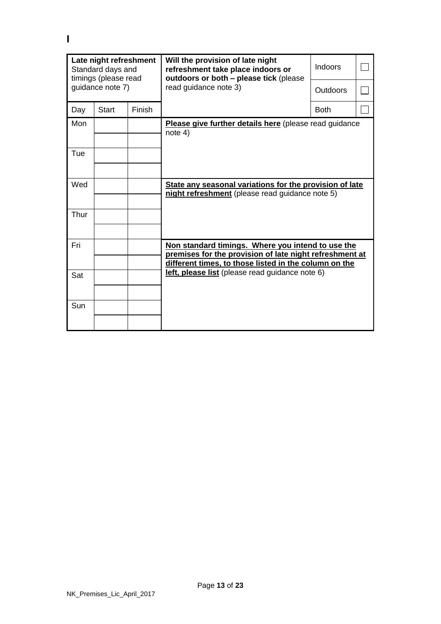| Late night refreshment<br>Standard days and<br>timings (please read |                  |               | Will the provision of late night<br>refreshment take place indoors or<br>outdoors or both - please tick (please                                                       | Indoors         |  |
|---------------------------------------------------------------------|------------------|---------------|-----------------------------------------------------------------------------------------------------------------------------------------------------------------------|-----------------|--|
|                                                                     | guidance note 7) |               | read guidance note 3)                                                                                                                                                 | <b>Outdoors</b> |  |
| Day                                                                 | <b>Start</b>     | <b>Finish</b> |                                                                                                                                                                       | <b>Both</b>     |  |
| Mon                                                                 |                  |               | Please give further details here (please read guidance<br>note 4)                                                                                                     |                 |  |
| Tue                                                                 |                  |               |                                                                                                                                                                       |                 |  |
| Wed                                                                 |                  |               | State any seasonal variations for the provision of late<br>night refreshment (please read guidance note 5)                                                            |                 |  |
| Thur                                                                |                  |               |                                                                                                                                                                       |                 |  |
| Fri                                                                 |                  |               | Non standard timings. Where you intend to use the<br>premises for the provision of late night refreshment at<br>different times, to those listed in the column on the |                 |  |
| Sat                                                                 |                  |               | left, please list (please read guidance note 6)                                                                                                                       |                 |  |
| Sun                                                                 |                  |               |                                                                                                                                                                       |                 |  |

**I**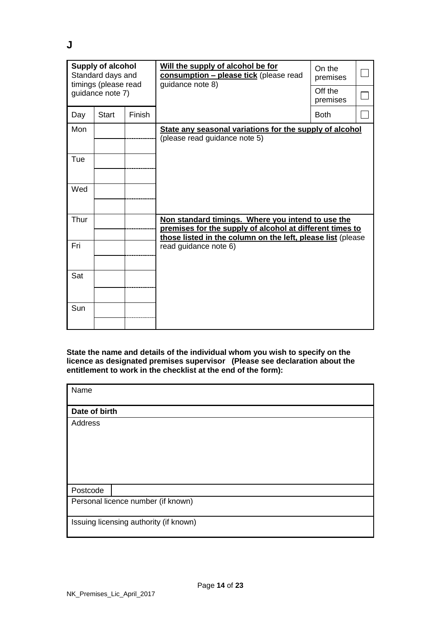| <b>Supply of alcohol</b><br>Standard days and<br>timings (please read |                  |        | Will the supply of alcohol be for<br>consumption - please tick (please read<br>quidance note 8)                                                                              | On the<br>premises  |  |
|-----------------------------------------------------------------------|------------------|--------|------------------------------------------------------------------------------------------------------------------------------------------------------------------------------|---------------------|--|
|                                                                       | guidance note 7) |        |                                                                                                                                                                              | Off the<br>premises |  |
| Day                                                                   | <b>Start</b>     | Finish |                                                                                                                                                                              | <b>Both</b>         |  |
| Mon                                                                   |                  |        | State any seasonal variations for the supply of alcohol<br>(please read guidance note 5)                                                                                     |                     |  |
| Tue                                                                   |                  |        |                                                                                                                                                                              |                     |  |
| Wed                                                                   |                  |        |                                                                                                                                                                              |                     |  |
| Thur                                                                  |                  |        | Non standard timings. Where you intend to use the<br>premises for the supply of alcohol at different times to<br>those listed in the column on the left, please list (please |                     |  |
| Fri                                                                   |                  |        | read guidance note 6)                                                                                                                                                        |                     |  |
| Sat                                                                   |                  |        |                                                                                                                                                                              |                     |  |
| Sun                                                                   |                  |        |                                                                                                                                                                              |                     |  |

**State the name and details of the individual whom you wish to specify on the licence as designated premises supervisor (Please see declaration about the entitlement to work in the checklist at the end of the form):**

| Name                                   |  |  |  |  |  |  |
|----------------------------------------|--|--|--|--|--|--|
| Date of birth                          |  |  |  |  |  |  |
| Address                                |  |  |  |  |  |  |
|                                        |  |  |  |  |  |  |
|                                        |  |  |  |  |  |  |
|                                        |  |  |  |  |  |  |
|                                        |  |  |  |  |  |  |
| Postcode                               |  |  |  |  |  |  |
| Personal licence number (if known)     |  |  |  |  |  |  |
|                                        |  |  |  |  |  |  |
| Issuing licensing authority (if known) |  |  |  |  |  |  |

**J**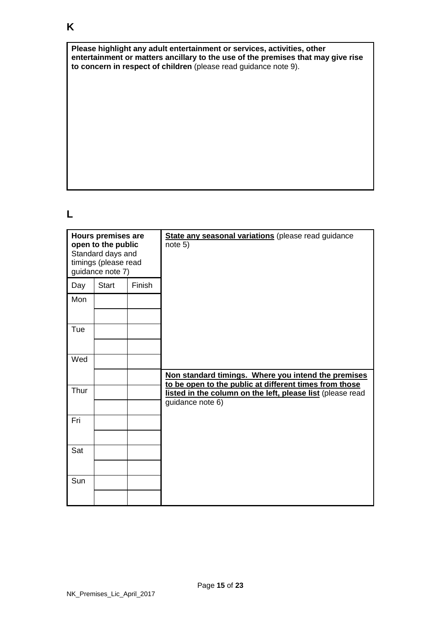# **K**

**Please highlight any adult entertainment or services, activities, other entertainment or matters ancillary to the use of the premises that may give rise to concern in respect of children** (please read guidance note 9).

# **L**

| Hours premises are<br>open to the public<br>Standard days and<br>timings (please read<br>guidance note 7) |              |        | State any seasonal variations (please read guidance<br>note 5)                                                                           |
|-----------------------------------------------------------------------------------------------------------|--------------|--------|------------------------------------------------------------------------------------------------------------------------------------------|
| Day                                                                                                       | <b>Start</b> | Finish |                                                                                                                                          |
| Mon                                                                                                       |              |        |                                                                                                                                          |
| Tue                                                                                                       |              |        |                                                                                                                                          |
| Wed                                                                                                       |              |        |                                                                                                                                          |
|                                                                                                           |              |        | Non standard timings. Where you intend the premises                                                                                      |
| Thur                                                                                                      |              |        | to be open to the public at different times from those<br>listed in the column on the left, please list (please read<br>guidance note 6) |
| Fri                                                                                                       |              |        |                                                                                                                                          |
| Sat                                                                                                       |              |        |                                                                                                                                          |
| Sun                                                                                                       |              |        |                                                                                                                                          |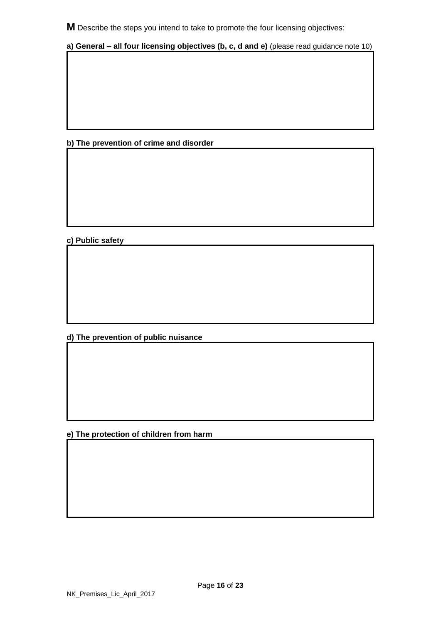**M** Describe the steps you intend to take to promote the four licensing objectives:

**a) General – all four licensing objectives (b, c, d and e)** (please read guidance note 10)

# **b) The prevention of crime and disorder**

**c) Public safety**

**d) The prevention of public nuisance**

**e) The protection of children from harm**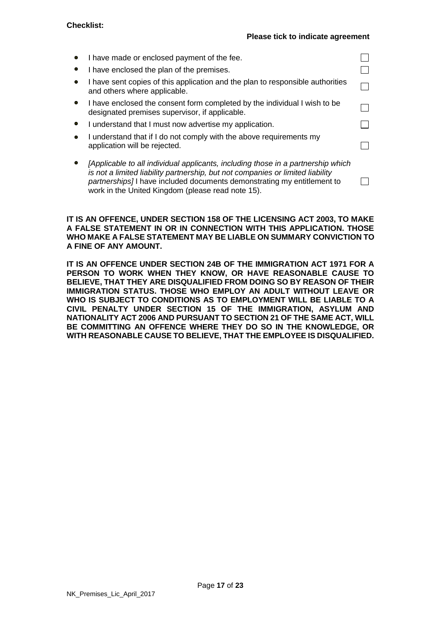### **Checklist:**

#### **Please tick to indicate agreement**

| I have made or enclosed payment of the fee.                                                                                                                                                                                                                                                        |  |
|----------------------------------------------------------------------------------------------------------------------------------------------------------------------------------------------------------------------------------------------------------------------------------------------------|--|
| I have enclosed the plan of the premises.                                                                                                                                                                                                                                                          |  |
| I have sent copies of this application and the plan to responsible authorities<br>and others where applicable.                                                                                                                                                                                     |  |
| I have enclosed the consent form completed by the individual I wish to be<br>designated premises supervisor, if applicable.                                                                                                                                                                        |  |
| I understand that I must now advertise my application.                                                                                                                                                                                                                                             |  |
| I understand that if I do not comply with the above requirements my<br>application will be rejected.                                                                                                                                                                                               |  |
| (Applicable to all individual applicants, including those in a partnership which<br>is not a limited liability partnership, but not companies or limited liability<br>partnerships] I have included documents demonstrating my entitlement to<br>work in the United Kingdom (please read note 15). |  |

### **IT IS AN OFFENCE, UNDER SECTION 158 OF THE LICENSING ACT 2003, TO MAKE A FALSE STATEMENT IN OR IN CONNECTION WITH THIS APPLICATION. THOSE WHO MAKE A FALSE STATEMENT MAY BE LIABLE ON SUMMARY CONVICTION TO A FINE OF ANY AMOUNT.**

**IT IS AN OFFENCE UNDER SECTION 24B OF THE IMMIGRATION ACT 1971 FOR A PERSON TO WORK WHEN THEY KNOW, OR HAVE REASONABLE CAUSE TO BELIEVE, THAT THEY ARE DISQUALIFIED FROM DOING SO BY REASON OF THEIR IMMIGRATION STATUS. THOSE WHO EMPLOY AN ADULT WITHOUT LEAVE OR WHO IS SUBJECT TO CONDITIONS AS TO EMPLOYMENT WILL BE LIABLE TO A CIVIL PENALTY UNDER SECTION 15 OF THE IMMIGRATION, ASYLUM AND NATIONALITY ACT 2006 AND PURSUANT TO SECTION 21 OF THE SAME ACT, WILL BE COMMITTING AN OFFENCE WHERE THEY DO SO IN THE KNOWLEDGE, OR WITH REASONABLE CAUSE TO BELIEVE, THAT THE EMPLOYEE IS DISQUALIFIED.**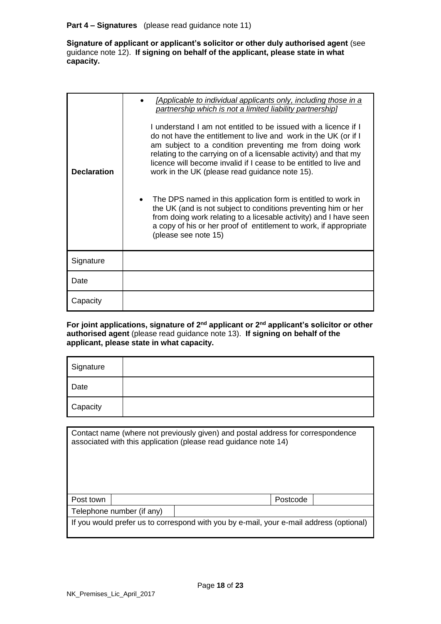**Signature of applicant or applicant's solicitor or other duly authorised agent** (see guidance note 12). **If signing on behalf of the applicant, please state in what capacity.** 

|                    | [Applicable to individual applicants only, including those in a<br>partnership which is not a limited liability partnership]                                                                                                                                                                                                                                                                                                                                                                                                                                                                                                                                                                   |
|--------------------|------------------------------------------------------------------------------------------------------------------------------------------------------------------------------------------------------------------------------------------------------------------------------------------------------------------------------------------------------------------------------------------------------------------------------------------------------------------------------------------------------------------------------------------------------------------------------------------------------------------------------------------------------------------------------------------------|
| <b>Declaration</b> | I understand I am not entitled to be issued with a licence if I<br>do not have the entitlement to live and work in the UK (or if I<br>am subject to a condition preventing me from doing work<br>relating to the carrying on of a licensable activity) and that my<br>licence will become invalid if I cease to be entitled to live and<br>work in the UK (please read guidance note 15).<br>The DPS named in this application form is entitled to work in<br>the UK (and is not subject to conditions preventing him or her<br>from doing work relating to a licesable activity) and I have seen<br>a copy of his or her proof of entitlement to work, if appropriate<br>(please see note 15) |
| Signature          |                                                                                                                                                                                                                                                                                                                                                                                                                                                                                                                                                                                                                                                                                                |
| Date               |                                                                                                                                                                                                                                                                                                                                                                                                                                                                                                                                                                                                                                                                                                |
| Capacity           |                                                                                                                                                                                                                                                                                                                                                                                                                                                                                                                                                                                                                                                                                                |

**For joint applications, signature of 2nd applicant or 2nd applicant's solicitor or other authorised agent** (please read guidance note 13). **If signing on behalf of the applicant, please state in what capacity.**

| Signature |  |
|-----------|--|
| Date      |  |
| Capacity  |  |

|                                                                                         |  | Contact name (where not previously given) and postal address for correspondence<br>associated with this application (please read guidance note 14) |  |  |  |  |
|-----------------------------------------------------------------------------------------|--|----------------------------------------------------------------------------------------------------------------------------------------------------|--|--|--|--|
| Post town                                                                               |  | Postcode                                                                                                                                           |  |  |  |  |
| Telephone number (if any)                                                               |  |                                                                                                                                                    |  |  |  |  |
| If you would prefer us to correspond with you by e-mail, your e-mail address (optional) |  |                                                                                                                                                    |  |  |  |  |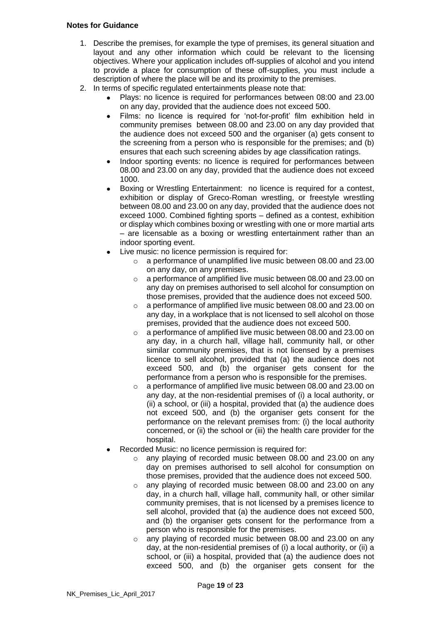- 1. Describe the premises, for example the type of premises, its general situation and layout and any other information which could be relevant to the licensing objectives. Where your application includes off-supplies of alcohol and you intend to provide a place for consumption of these off-supplies, you must include a description of where the place will be and its proximity to the premises.
- 2. In terms of specific regulated entertainments please note that:
	- Plays: no licence is required for performances between 08:00 and 23.00 on any day, provided that the audience does not exceed 500.
	- Films: no licence is required for 'not-for-profit' film exhibition held in community premises between 08.00 and 23.00 on any day provided that the audience does not exceed 500 and the organiser (a) gets consent to the screening from a person who is responsible for the premises; and (b) ensures that each such screening abides by age classification ratings.
	- Indoor sporting events: no licence is required for performances between 08.00 and 23.00 on any day, provided that the audience does not exceed 1000.
	- Boxing or Wrestling Entertainment: no licence is required for a contest, exhibition or display of Greco-Roman wrestling, or freestyle wrestling between 08.00 and 23.00 on any day, provided that the audience does not exceed 1000. Combined fighting sports – defined as a contest, exhibition or display which combines boxing or wrestling with one or more martial arts – are licensable as a boxing or wrestling entertainment rather than an indoor sporting event.
	- Live music: no licence permission is required for:
		- o a performance of unamplified live music between 08.00 and 23.00 on any day, on any premises.
		- o a performance of amplified live music between 08.00 and 23.00 on any day on premises authorised to sell alcohol for consumption on those premises, provided that the audience does not exceed 500.
		- $\circ$  a performance of amplified live music between 08.00 and 23.00 on any day, in a workplace that is not licensed to sell alcohol on those premises, provided that the audience does not exceed 500.
		- o a performance of amplified live music between 08.00 and 23.00 on any day, in a church hall, village hall, community hall, or other similar community premises, that is not licensed by a premises licence to sell alcohol, provided that (a) the audience does not exceed 500, and (b) the organiser gets consent for the performance from a person who is responsible for the premises.
		- a performance of amplified live music between 08.00 and 23.00 on any day, at the non-residential premises of (i) a local authority, or (ii) a school, or (iii) a hospital, provided that (a) the audience does not exceed 500, and (b) the organiser gets consent for the performance on the relevant premises from: (i) the local authority concerned, or (ii) the school or (iii) the health care provider for the hospital.
	- Recorded Music: no licence permission is required for:
		- o any playing of recorded music between 08.00 and 23.00 on any day on premises authorised to sell alcohol for consumption on those premises, provided that the audience does not exceed 500.
		- o any playing of recorded music between 08.00 and 23.00 on any day, in a church hall, village hall, community hall, or other similar community premises, that is not licensed by a premises licence to sell alcohol, provided that (a) the audience does not exceed 500, and (b) the organiser gets consent for the performance from a person who is responsible for the premises.
		- o any playing of recorded music between 08.00 and 23.00 on any day, at the non-residential premises of (i) a local authority, or (ii) a school, or (iii) a hospital, provided that (a) the audience does not exceed 500, and (b) the organiser gets consent for the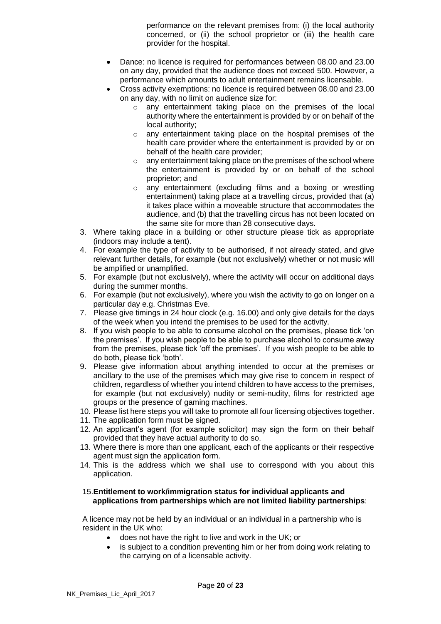performance on the relevant premises from: (i) the local authority concerned, or (ii) the school proprietor or (iii) the health care provider for the hospital.

- Dance: no licence is required for performances between 08.00 and 23.00 on any day, provided that the audience does not exceed 500. However, a performance which amounts to adult entertainment remains licensable.
- Cross activity exemptions: no licence is required between 08.00 and 23.00 on any day, with no limit on audience size for:
	- o any entertainment taking place on the premises of the local authority where the entertainment is provided by or on behalf of the local authority;
	- o any entertainment taking place on the hospital premises of the health care provider where the entertainment is provided by or on behalf of the health care provider;
	- o any entertainment taking place on the premises of the school where the entertainment is provided by or on behalf of the school proprietor; and
	- o any entertainment (excluding films and a boxing or wrestling entertainment) taking place at a travelling circus, provided that (a) it takes place within a moveable structure that accommodates the audience, and (b) that the travelling circus has not been located on the same site for more than 28 consecutive days.
- 3. Where taking place in a building or other structure please tick as appropriate (indoors may include a tent).
- 4. For example the type of activity to be authorised, if not already stated, and give relevant further details, for example (but not exclusively) whether or not music will be amplified or unamplified.
- 5. For example (but not exclusively), where the activity will occur on additional days during the summer months.
- 6. For example (but not exclusively), where you wish the activity to go on longer on a particular day e.g. Christmas Eve.
- 7. Please give timings in 24 hour clock (e.g. 16.00) and only give details for the days of the week when you intend the premises to be used for the activity.
- 8. If you wish people to be able to consume alcohol on the premises, please tick 'on the premises'. If you wish people to be able to purchase alcohol to consume away from the premises, please tick 'off the premises'. If you wish people to be able to do both, please tick 'both'.
- 9. Please give information about anything intended to occur at the premises or ancillary to the use of the premises which may give rise to concern in respect of children, regardless of whether you intend children to have access to the premises, for example (but not exclusively) nudity or semi-nudity, films for restricted age groups or the presence of gaming machines.
- 10. Please list here steps you will take to promote all four licensing objectives together.
- 11. The application form must be signed.
- 12. An applicant's agent (for example solicitor) may sign the form on their behalf provided that they have actual authority to do so.
- 13. Where there is more than one applicant, each of the applicants or their respective agent must sign the application form.
- 14. This is the address which we shall use to correspond with you about this application.

### 15.**Entitlement to work/immigration status for individual applicants and applications from partnerships which are not limited liability partnerships**:

A licence may not be held by an individual or an individual in a partnership who is resident in the UK who:

- does not have the right to live and work in the UK; or
- is subject to a condition preventing him or her from doing work relating to the carrying on of a licensable activity.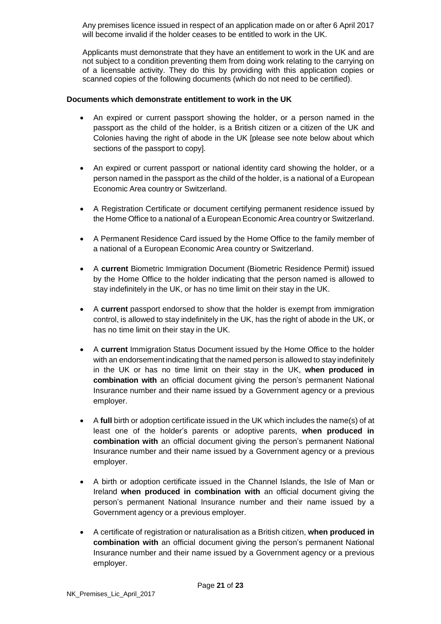Any premises licence issued in respect of an application made on or after 6 April 2017 will become invalid if the holder ceases to be entitled to work in the UK.

Applicants must demonstrate that they have an entitlement to work in the UK and are not subject to a condition preventing them from doing work relating to the carrying on of a licensable activity. They do this by providing with this application copies or scanned copies of the following documents (which do not need to be certified).

### **Documents which demonstrate entitlement to work in the UK**

- An expired or current passport showing the holder, or a person named in the passport as the child of the holder, is a British citizen or a citizen of the UK and Colonies having the right of abode in the UK [please see note below about which sections of the passport to copy].
- An expired or current passport or national identity card showing the holder, or a person named in the passport as the child of the holder, is a national of a European Economic Area country or Switzerland.
- A Registration Certificate or document certifying permanent residence issued by the Home Office to a national of a European Economic Area country or Switzerland.
- A Permanent Residence Card issued by the Home Office to the family member of a national of a European Economic Area country or Switzerland.
- A **current** Biometric Immigration Document (Biometric Residence Permit) issued by the Home Office to the holder indicating that the person named is allowed to stay indefinitely in the UK, or has no time limit on their stay in the UK.
- A **current** passport endorsed to show that the holder is exempt from immigration control, is allowed to stay indefinitely in the UK, has the right of abode in the UK, or has no time limit on their stay in the UK.
- A **current** Immigration Status Document issued by the Home Office to the holder with an endorsement indicating that the named person is allowed to stay indefinitely in the UK or has no time limit on their stay in the UK, **when produced in combination with** an official document giving the person's permanent National Insurance number and their name issued by a Government agency or a previous employer.
- A **full** birth or adoption certificate issued in the UK which includes the name(s) of at least one of the holder's parents or adoptive parents, **when produced in combination with** an official document giving the person's permanent National Insurance number and their name issued by a Government agency or a previous employer.
- A birth or adoption certificate issued in the Channel Islands, the Isle of Man or Ireland **when produced in combination with** an official document giving the person's permanent National Insurance number and their name issued by a Government agency or a previous employer.
- A certificate of registration or naturalisation as a British citizen, **when produced in combination with** an official document giving the person's permanent National Insurance number and their name issued by a Government agency or a previous employer.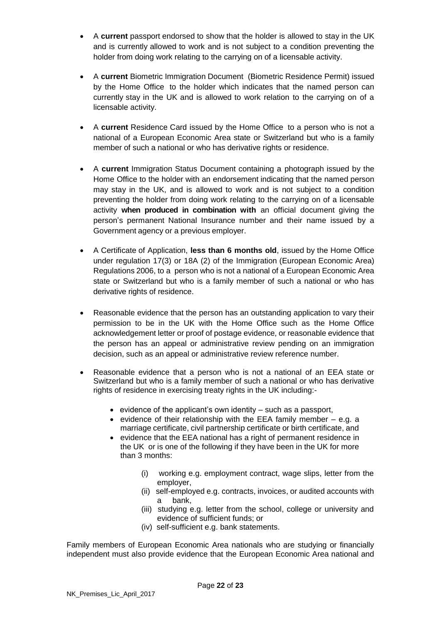- A **current** passport endorsed to show that the holder is allowed to stay in the UK and is currently allowed to work and is not subject to a condition preventing the holder from doing work relating to the carrying on of a licensable activity.
- A **current** Biometric Immigration Document (Biometric Residence Permit) issued by the Home Office to the holder which indicates that the named person can currently stay in the UK and is allowed to work relation to the carrying on of a licensable activity.
- A **current** Residence Card issued by the Home Office to a person who is not a national of a European Economic Area state or Switzerland but who is a family member of such a national or who has derivative rights or residence.
- A **current** Immigration Status Document containing a photograph issued by the Home Office to the holder with an endorsement indicating that the named person may stay in the UK, and is allowed to work and is not subject to a condition preventing the holder from doing work relating to the carrying on of a licensable activity **when produced in combination with** an official document giving the person's permanent National Insurance number and their name issued by a Government agency or a previous employer.
- A Certificate of Application, **less than 6 months old**, issued by the Home Office under regulation 17(3) or 18A (2) of the Immigration (European Economic Area) Regulations 2006, to a person who is not a national of a European Economic Area state or Switzerland but who is a family member of such a national or who has derivative rights of residence.
- Reasonable evidence that the person has an outstanding application to vary their permission to be in the UK with the Home Office such as the Home Office acknowledgement letter or proof of postage evidence, or reasonable evidence that the person has an appeal or administrative review pending on an immigration decision, such as an appeal or administrative review reference number.
- Reasonable evidence that a person who is not a national of an EEA state or Switzerland but who is a family member of such a national or who has derivative rights of residence in exercising treaty rights in the UK including:-
	- $\bullet$  evidence of the applicant's own identity such as a passport,
	- evidence of their relationship with the EEA family member  $-$  e.g. a marriage certificate, civil partnership certificate or birth certificate, and
	- evidence that the EEA national has a right of permanent residence in the UK or is one of the following if they have been in the UK for more than 3 months:
		- (i) working e.g. employment contract, wage slips, letter from the employer,
		- (ii) self-employed e.g. contracts, invoices, or audited accounts with a bank,
		- (iii) studying e.g. letter from the school, college or university and evidence of sufficient funds; or
		- (iv) self-sufficient e.g. bank statements.

Family members of European Economic Area nationals who are studying or financially independent must also provide evidence that the European Economic Area national and